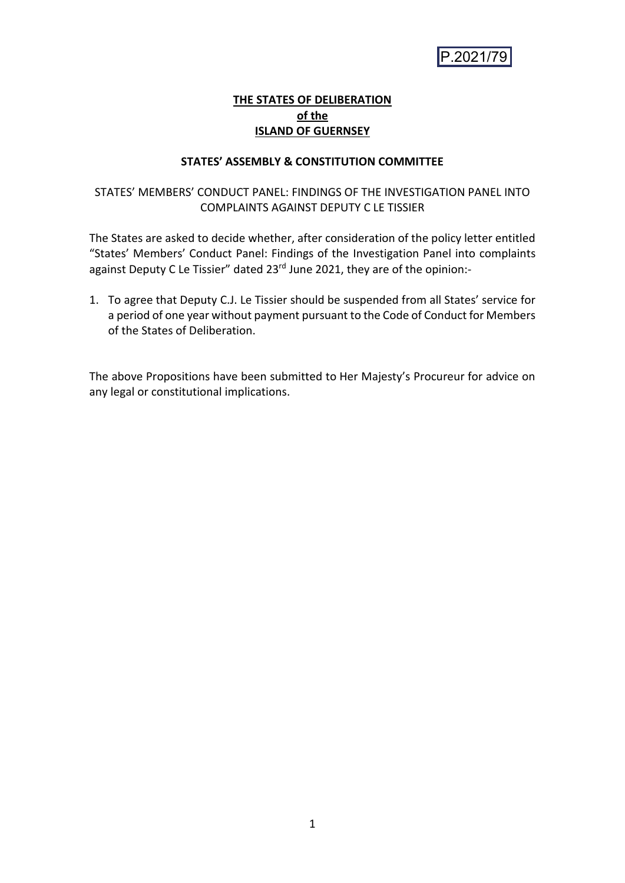

# **THE STATES OF DELIBERATION of the ISLAND OF GUERNSEY**

# **STATES' ASSEMBLY & CONSTITUTION COMMITTEE**

# STATES' MEMBERS' CONDUCT PANEL: FINDINGS OF THE INVESTIGATION PANEL INTO COMPLAINTS AGAINST DEPUTY C LE TISSIER

The States are asked to decide whether, after consideration of the policy letter entitled "States' Members' Conduct Panel: Findings of the Investigation Panel into complaints against Deputy C Le Tissier" dated 23rd June 2021, they are of the opinion:-

1. To agree that Deputy C.J. Le Tissier should be suspended from all States' service for a period of one year without payment pursuant to the Code of Conduct for Members of the States of Deliberation.

The above Propositions have been submitted to Her Majesty's Procureur for advice on any legal or constitutional implications.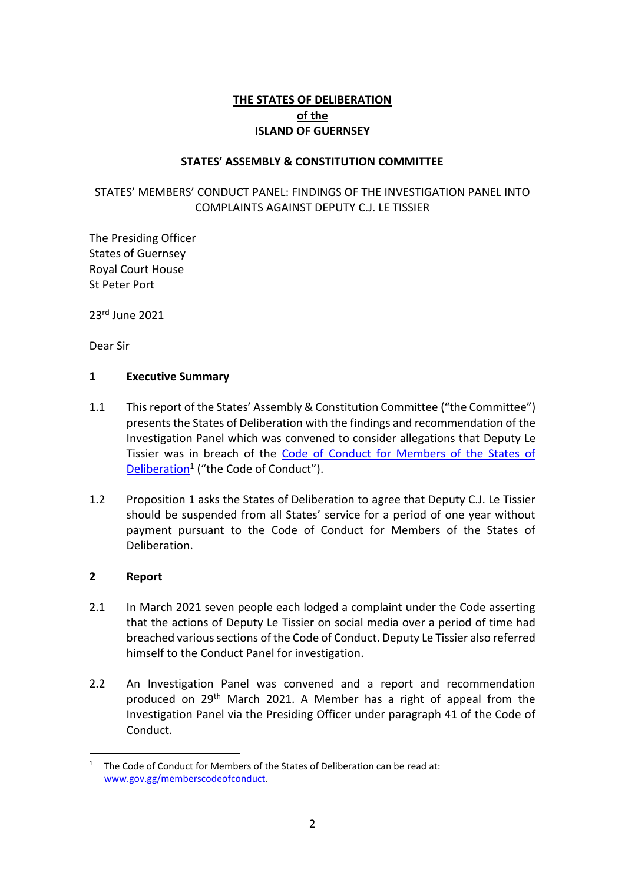# **THE STATES OF DELIBERATION of the ISLAND OF GUERNSEY**

# **STATES' ASSEMBLY & CONSTITUTION COMMITTEE**

# STATES' MEMBERS' CONDUCT PANEL: FINDINGS OF THE INVESTIGATION PANEL INTO COMPLAINTS AGAINST DEPUTY C.J. LE TISSIER

The Presiding Officer States of Guernsey Royal Court House St Peter Port

23rd June 2021

Dear Sir

# **1 Executive Summary**

- 1.1 This report of the States' Assembly & Constitution Committee ("the Committee") presents the States of Deliberation with the findings and recommendation of the Investigation Panel which was convened to consider allegations that Deputy Le Tissier was in breach of the [Code of Conduct for Members of the States of](https://www.gov.gg/CHttpHandler.ashx?id=4669&p=0)  [Deliberation](https://www.gov.gg/CHttpHandler.ashx?id=4669&p=0)<sup>1</sup> ("the Code of Conduct").
- 1.2 Proposition 1 asks the States of Deliberation to agree that Deputy C.J. Le Tissier should be suspended from all States' service for a period of one year without payment pursuant to the Code of Conduct for Members of the States of Deliberation.

# **2 Report**

- 2.1 In March 2021 seven people each lodged a complaint under the Code asserting that the actions of Deputy Le Tissier on social media over a period of time had breached various sections of the Code of Conduct. Deputy Le Tissier also referred himself to the Conduct Panel for investigation.
- 2.2 An Investigation Panel was convened and a report and recommendation produced on 29<sup>th</sup> March 2021. A Member has a right of appeal from the Investigation Panel via the Presiding Officer under paragraph 41 of the Code of Conduct.

<sup>&</sup>lt;sup>1</sup> The Code of Conduct for Members of the States of Deliberation can be read at: [www.gov.gg/memberscodeofconduct.](http://www.gov.gg/memberscodeofconduct)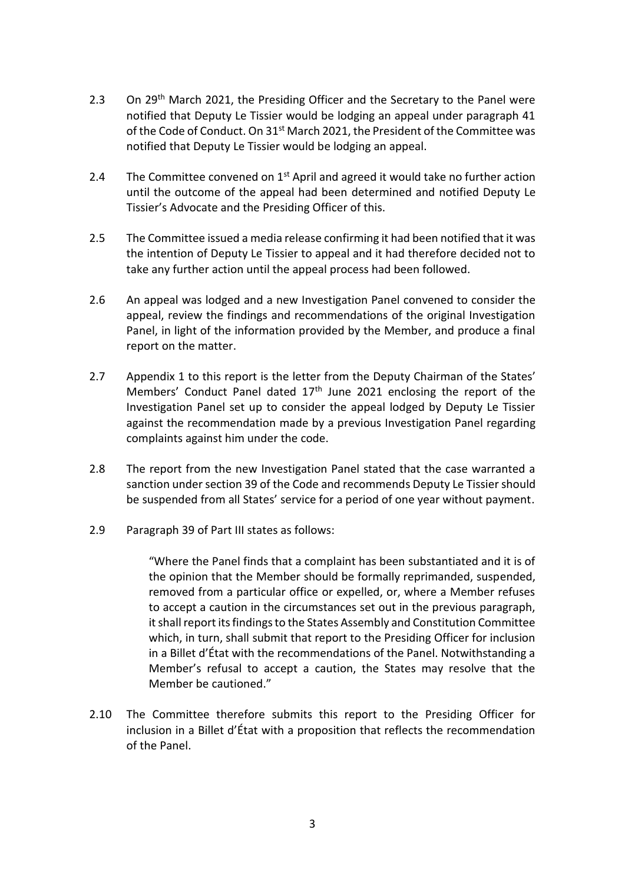- 2.3 On 29<sup>th</sup> March 2021, the Presiding Officer and the Secretary to the Panel were notified that Deputy Le Tissier would be lodging an appeal under paragraph 41 of the Code of Conduct. On 31<sup>st</sup> March 2021, the President of the Committee was notified that Deputy Le Tissier would be lodging an appeal.
- 2.4 The Committee convened on  $1<sup>st</sup>$  April and agreed it would take no further action until the outcome of the appeal had been determined and notified Deputy Le Tissier's Advocate and the Presiding Officer of this.
- 2.5 The Committee issued a media release confirming it had been notified that it was the intention of Deputy Le Tissier to appeal and it had therefore decided not to take any further action until the appeal process had been followed.
- 2.6 An appeal was lodged and a new Investigation Panel convened to consider the appeal, review the findings and recommendations of the original Investigation Panel, in light of the information provided by the Member, and produce a final report on the matter.
- 2.7 Appendix 1 to this report is the letter from the Deputy Chairman of the States' Members' Conduct Panel dated  $17<sup>th</sup>$  June 2021 enclosing the report of the Investigation Panel set up to consider the appeal lodged by Deputy Le Tissier against the recommendation made by a previous Investigation Panel regarding complaints against him under the code.
- 2.8 The report from the new Investigation Panel stated that the case warranted a sanction under section 39 of the Code and recommends Deputy Le Tissier should be suspended from all States' service for a period of one year without payment.
- 2.9 Paragraph 39 of Part III states as follows:

"Where the Panel finds that a complaint has been substantiated and it is of the opinion that the Member should be formally reprimanded, suspended, removed from a particular office or expelled, or, where a Member refuses to accept a caution in the circumstances set out in the previous paragraph, it shall report its findings to the States Assembly and Constitution Committee which, in turn, shall submit that report to the Presiding Officer for inclusion in a Billet d'État with the recommendations of the Panel. Notwithstanding a Member's refusal to accept a caution, the States may resolve that the Member be cautioned."

2.10 The Committee therefore submits this report to the Presiding Officer for inclusion in a Billet d'État with a proposition that reflects the recommendation of the Panel.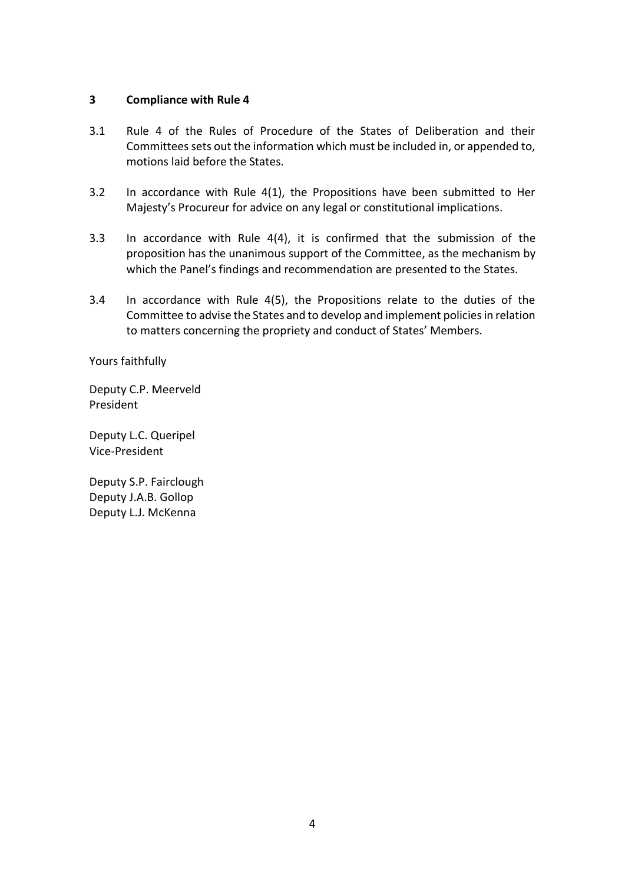# **3 Compliance with Rule 4**

- 3.1 Rule 4 of the Rules of Procedure of the States of Deliberation and their Committees sets out the information which must be included in, or appended to, motions laid before the States.
- 3.2 In accordance with Rule 4(1), the Propositions have been submitted to Her Majesty's Procureur for advice on any legal or constitutional implications.
- 3.3 In accordance with Rule 4(4), it is confirmed that the submission of the proposition has the unanimous support of the Committee, as the mechanism by which the Panel's findings and recommendation are presented to the States.
- 3.4 In accordance with Rule 4(5), the Propositions relate to the duties of the Committee to advise the States and to develop and implement policies in relation to matters concerning the propriety and conduct of States' Members.

Yours faithfully

Deputy C.P. Meerveld President

Deputy L.C. Queripel Vice-President

Deputy S.P. Fairclough Deputy J.A.B. Gollop Deputy L.J. McKenna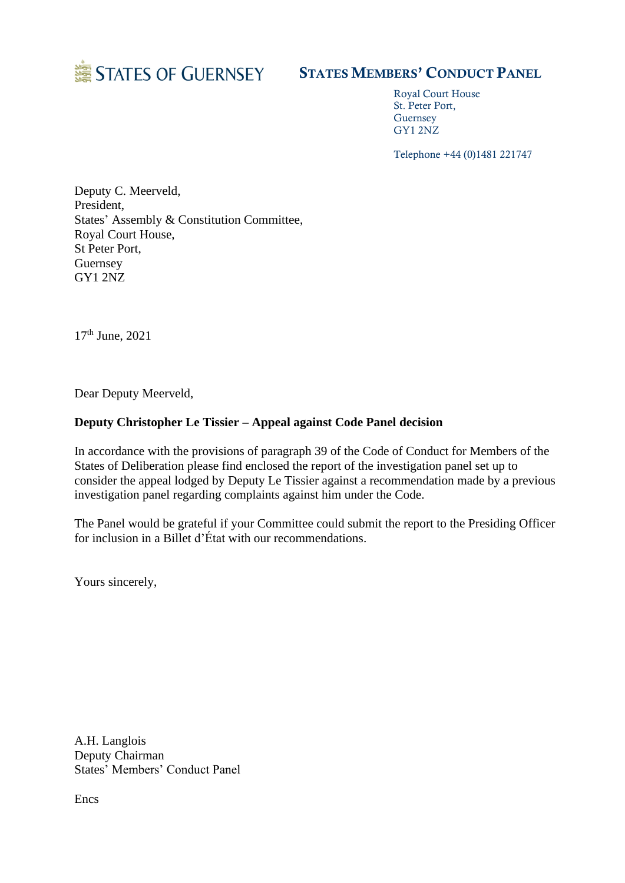

# STATES MEMBERS' CONDUCT PANEL

Royal Court House St. Peter Port, Guernsey GY1 2NZ

Telephone +44 (0)1481 221747

Deputy C. Meerveld, President, States' Assembly & Constitution Committee, Royal Court House, St Peter Port, Guernsey GY1 2NZ

17th June, 2021

Dear Deputy Meerveld,

# **Deputy Christopher Le Tissier – Appeal against Code Panel decision**

In accordance with the provisions of paragraph 39 of the Code of Conduct for Members of the States of Deliberation please find enclosed the report of the investigation panel set up to consider the appeal lodged by Deputy Le Tissier against a recommendation made by a previous investigation panel regarding complaints against him under the Code.

The Panel would be grateful if your Committee could submit the report to the Presiding Officer for inclusion in a Billet d'État with our recommendations.

Yours sincerely,

A.H. Langlois Deputy Chairman States' Members' Conduct Panel

**Encs**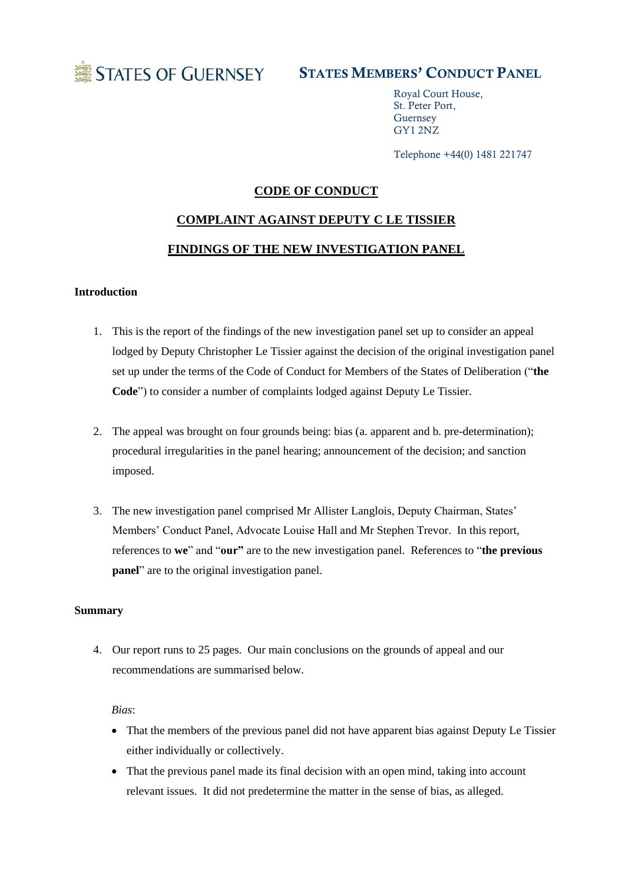

# STATES MEMBERS' CONDUCT PANEL

Royal Court House, St. Peter Port, Guernsey GY1 2NZ

Telephone +44(0) 1481 221747

# **CODE OF CONDUCT**

# **COMPLAINT AGAINST DEPUTY C LE TISSIER FINDINGS OF THE NEW INVESTIGATION PANEL**

#### **Introduction**

- 1. This is the report of the findings of the new investigation panel set up to consider an appeal lodged by Deputy Christopher Le Tissier against the decision of the original investigation panel set up under the terms of the Code of Conduct for Members of the States of Deliberation ("**the Code**") to consider a number of complaints lodged against Deputy Le Tissier.
- 2. The appeal was brought on four grounds being: bias (a. apparent and b. pre-determination); procedural irregularities in the panel hearing; announcement of the decision; and sanction imposed.
- 3. The new investigation panel comprised Mr Allister Langlois, Deputy Chairman, States' Members' Conduct Panel, Advocate Louise Hall and Mr Stephen Trevor. In this report, references to **we**" and "**our"** are to the new investigation panel. References to "**the previous panel**" are to the original investigation panel.

#### **Summary**

4. Our report runs to 25 pages. Our main conclusions on the grounds of appeal and our recommendations are summarised below.

#### *Bias*:

- That the members of the previous panel did not have apparent bias against Deputy Le Tissier either individually or collectively.
- That the previous panel made its final decision with an open mind, taking into account relevant issues. It did not predetermine the matter in the sense of bias, as alleged.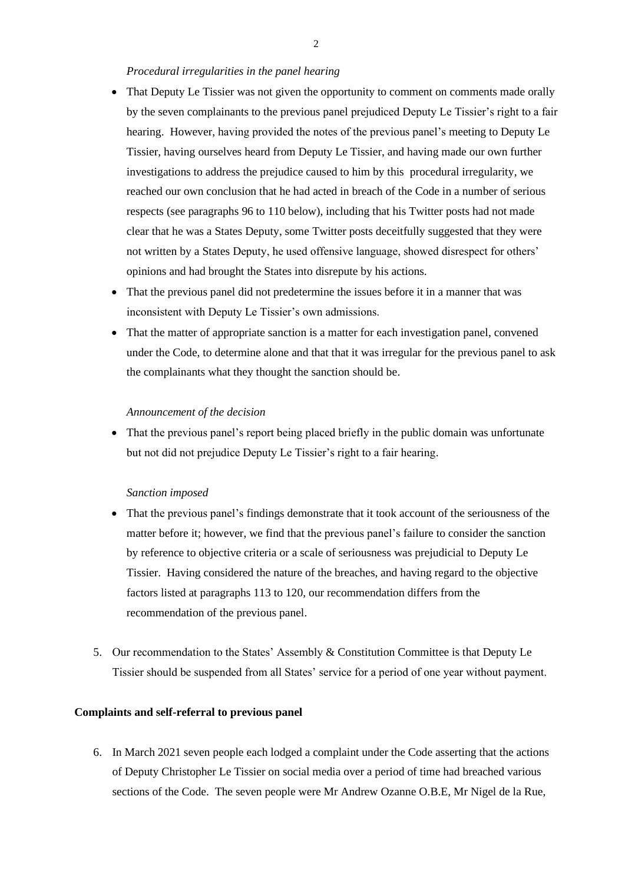#### *Procedural irregularities in the panel hearing*

- That Deputy Le Tissier was not given the opportunity to comment on comments made orally by the seven complainants to the previous panel prejudiced Deputy Le Tissier's right to a fair hearing. However, having provided the notes of the previous panel's meeting to Deputy Le Tissier, having ourselves heard from Deputy Le Tissier, and having made our own further investigations to address the prejudice caused to him by this procedural irregularity, we reached our own conclusion that he had acted in breach of the Code in a number of serious respects (see paragraphs 96 to 110 below), including that his Twitter posts had not made clear that he was a States Deputy, some Twitter posts deceitfully suggested that they were not written by a States Deputy, he used offensive language, showed disrespect for others' opinions and had brought the States into disrepute by his actions.
- That the previous panel did not predetermine the issues before it in a manner that was inconsistent with Deputy Le Tissier's own admissions.
- That the matter of appropriate sanction is a matter for each investigation panel, convened under the Code, to determine alone and that that it was irregular for the previous panel to ask the complainants what they thought the sanction should be.

#### *Announcement of the decision*

• That the previous panel's report being placed briefly in the public domain was unfortunate but not did not prejudice Deputy Le Tissier's right to a fair hearing.

#### *Sanction imposed*

- That the previous panel's findings demonstrate that it took account of the seriousness of the matter before it; however, we find that the previous panel's failure to consider the sanction by reference to objective criteria or a scale of seriousness was prejudicial to Deputy Le Tissier. Having considered the nature of the breaches, and having regard to the objective factors listed at paragraphs 113 to 120, our recommendation differs from the recommendation of the previous panel.
- 5. Our recommendation to the States' Assembly & Constitution Committee is that Deputy Le Tissier should be suspended from all States' service for a period of one year without payment.

#### **Complaints and self-referral to previous panel**

6. In March 2021 seven people each lodged a complaint under the Code asserting that the actions of Deputy Christopher Le Tissier on social media over a period of time had breached various sections of the Code. The seven people were Mr Andrew Ozanne O.B.E, Mr Nigel de la Rue,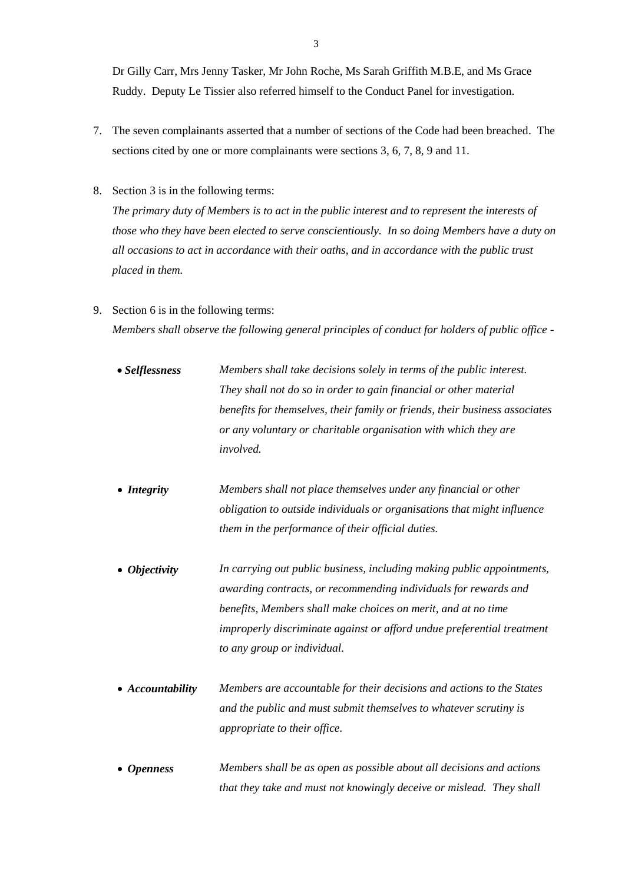Dr Gilly Carr, Mrs Jenny Tasker, Mr John Roche, Ms Sarah Griffith M.B.E, and Ms Grace Ruddy. Deputy Le Tissier also referred himself to the Conduct Panel for investigation.

- 7. The seven complainants asserted that a number of sections of the Code had been breached. The sections cited by one or more complainants were sections 3, 6, 7, 8, 9 and 11.
- 8. Section 3 is in the following terms:

*The primary duty of Members is to act in the public interest and to represent the interests of those who they have been elected to serve conscientiously. In so doing Members have a duty on all occasions to act in accordance with their oaths, and in accordance with the public trust placed in them.* 

9. Section 6 is in the following terms: *Members shall observe the following general principles of conduct for holders of public office -*

| Members shall take decisions solely in terms of the public interest.        |
|-----------------------------------------------------------------------------|
| They shall not do so in order to gain financial or other material           |
| benefits for themselves, their family or friends, their business associates |
| or any voluntary or charitable organisation with which they are             |
| <i>involved.</i>                                                            |
|                                                                             |

- *Integrity Members shall not place themselves under any financial or other obligation to outside individuals or organisations that might influence them in the performance of their official duties.*
- *Objectivity In carrying out public business, including making public appointments, awarding contracts, or recommending individuals for rewards and benefits, Members shall make choices on merit, and at no time improperly discriminate against or afford undue preferential treatment to any group or individual.*
- *Accountability Members are accountable for their decisions and actions to the States and the public and must submit themselves to whatever scrutiny is appropriate to their office.*
- *Openness Members shall be as open as possible about all decisions and actions that they take and must not knowingly deceive or mislead. They shall*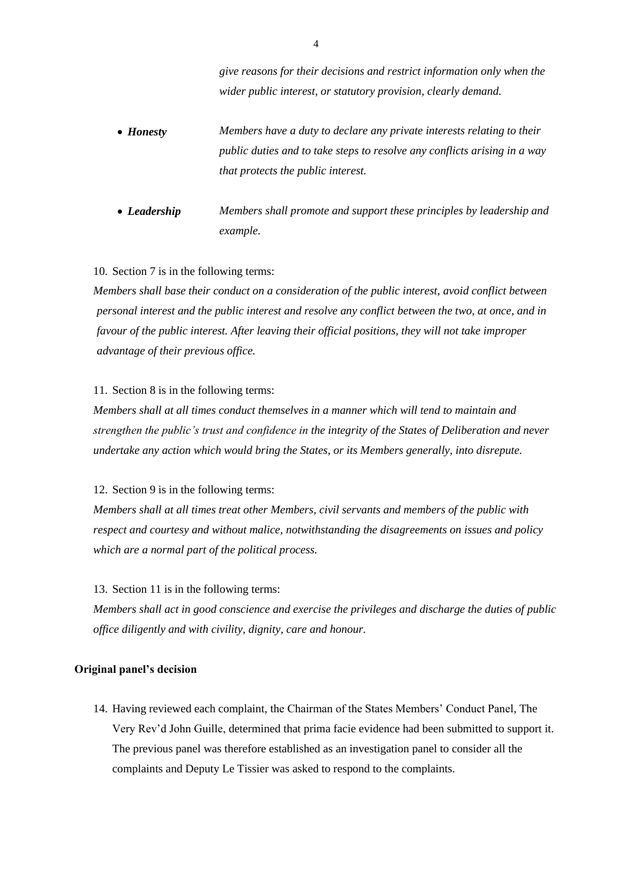*give reasons for their decisions and restrict information only when the wider public interest, or statutory provision, clearly demand.*

- *Honesty Members have a duty to declare any private interests relating to their public duties and to take steps to resolve any conflicts arising in a way that protects the public interest.*
- *Leadership Members shall promote and support these principles by leadership and example.*

#### 10. Section 7 is in the following terms:

*Members shall base their conduct on a consideration of the public interest, avoid conflict between personal interest and the public interest and resolve any conflict between the two, at once, and in favour of the public interest. After leaving their official positions, they will not take improper advantage of their previous office.* 

#### 11. Section 8 is in the following terms:

*Members shall at all times conduct themselves in a manner which will tend to maintain and strengthen the public's trust and confidence in the integrity of the States of Deliberation and never undertake any action which would bring the States, or its Members generally, into disrepute.*

#### 12. Section 9 is in the following terms:

*Members shall at all times treat other Members, civil servants and members of the public with respect and courtesy and without malice, notwithstanding the disagreements on issues and policy which are a normal part of the political process.* 

# 13. Section 11 is in the following terms:

*Members shall act in good conscience and exercise the privileges and discharge the duties of public office diligently and with civility, dignity, care and honour.* 

#### **Original panel's decision**

14. Having reviewed each complaint, the Chairman of the States Members' Conduct Panel, The Very Rev'd John Guille, determined that prima facie evidence had been submitted to support it. The previous panel was therefore established as an investigation panel to consider all the complaints and Deputy Le Tissier was asked to respond to the complaints.

4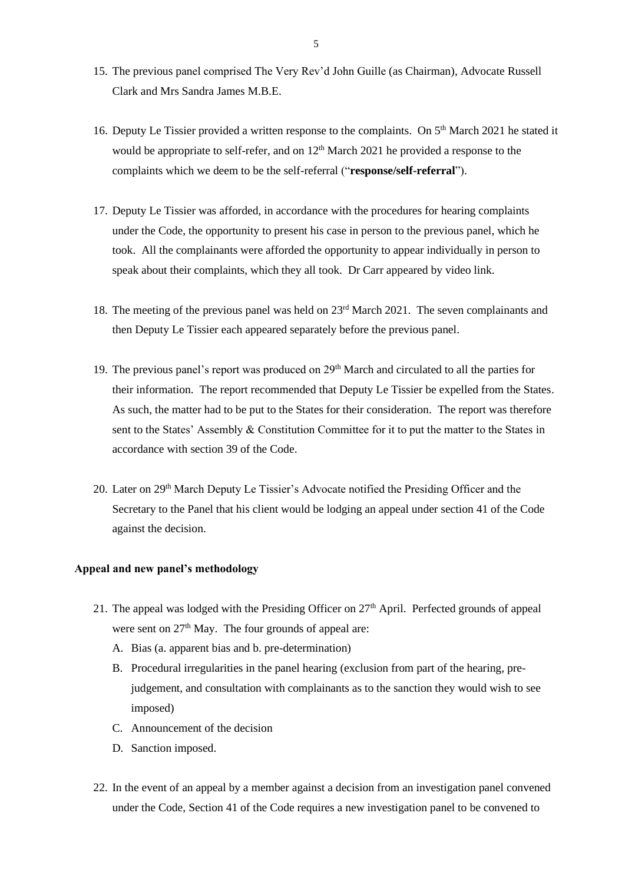- 15. The previous panel comprised The Very Rev'd John Guille (as Chairman), Advocate Russell Clark and Mrs Sandra James M.B.E.
- 16. Deputy Le Tissier provided a written response to the complaints. On 5<sup>th</sup> March 2021 he stated it would be appropriate to self-refer, and on  $12<sup>th</sup>$  March 2021 he provided a response to the complaints which we deem to be the self-referral ("**response/self-referral**").
- 17. Deputy Le Tissier was afforded, in accordance with the procedures for hearing complaints under the Code, the opportunity to present his case in person to the previous panel, which he took. All the complainants were afforded the opportunity to appear individually in person to speak about their complaints, which they all took. Dr Carr appeared by video link.
- 18. The meeting of the previous panel was held on 23rd March 2021. The seven complainants and then Deputy Le Tissier each appeared separately before the previous panel.
- 19. The previous panel's report was produced on 29<sup>th</sup> March and circulated to all the parties for their information. The report recommended that Deputy Le Tissier be expelled from the States. As such, the matter had to be put to the States for their consideration. The report was therefore sent to the States' Assembly & Constitution Committee for it to put the matter to the States in accordance with section 39 of the Code.
- 20. Later on 29th March Deputy Le Tissier's Advocate notified the Presiding Officer and the Secretary to the Panel that his client would be lodging an appeal under section 41 of the Code against the decision.

# **Appeal and new panel's methodology**

- 21. The appeal was lodged with the Presiding Officer on  $27<sup>th</sup>$  April. Perfected grounds of appeal were sent on  $27<sup>th</sup>$  May. The four grounds of appeal are:
	- A. Bias (a. apparent bias and b. pre-determination)
	- B. Procedural irregularities in the panel hearing (exclusion from part of the hearing, prejudgement, and consultation with complainants as to the sanction they would wish to see imposed)
	- C. Announcement of the decision
	- D. Sanction imposed.
- 22. In the event of an appeal by a member against a decision from an investigation panel convened under the Code, Section 41 of the Code requires a new investigation panel to be convened to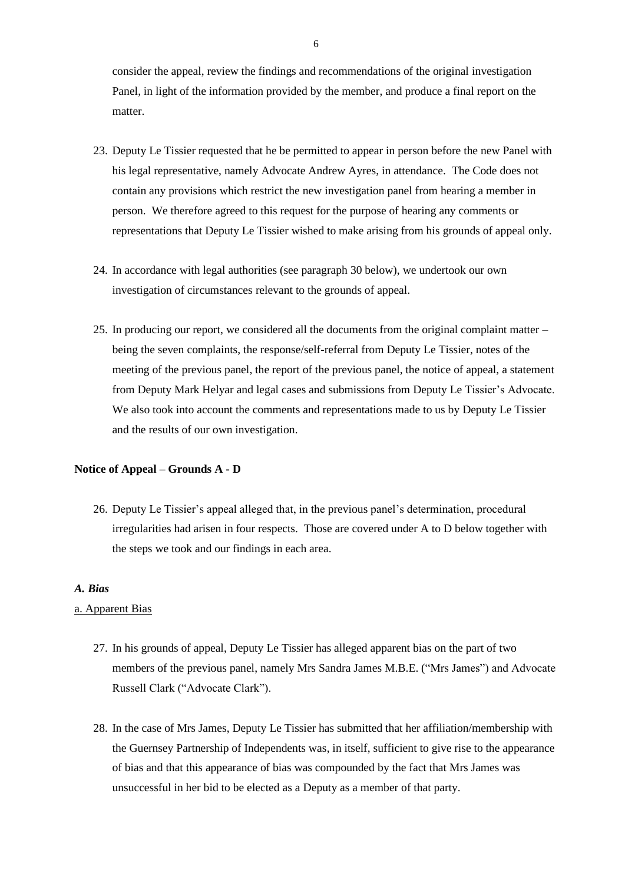consider the appeal, review the findings and recommendations of the original investigation Panel, in light of the information provided by the member, and produce a final report on the matter.

- 23. Deputy Le Tissier requested that he be permitted to appear in person before the new Panel with his legal representative, namely Advocate Andrew Ayres, in attendance. The Code does not contain any provisions which restrict the new investigation panel from hearing a member in person. We therefore agreed to this request for the purpose of hearing any comments or representations that Deputy Le Tissier wished to make arising from his grounds of appeal only.
- 24. In accordance with legal authorities (see paragraph 30 below), we undertook our own investigation of circumstances relevant to the grounds of appeal.
- 25. In producing our report, we considered all the documents from the original complaint matter being the seven complaints, the response/self-referral from Deputy Le Tissier, notes of the meeting of the previous panel, the report of the previous panel, the notice of appeal, a statement from Deputy Mark Helyar and legal cases and submissions from Deputy Le Tissier's Advocate. We also took into account the comments and representations made to us by Deputy Le Tissier and the results of our own investigation.

# **Notice of Appeal – Grounds A - D**

26. Deputy Le Tissier's appeal alleged that, in the previous panel's determination, procedural irregularities had arisen in four respects. Those are covered under A to D below together with the steps we took and our findings in each area.

#### *A. Bias*

#### a. Apparent Bias

- 27. In his grounds of appeal, Deputy Le Tissier has alleged apparent bias on the part of two members of the previous panel, namely Mrs Sandra James M.B.E. ("Mrs James") and Advocate Russell Clark ("Advocate Clark").
- 28. In the case of Mrs James, Deputy Le Tissier has submitted that her affiliation/membership with the Guernsey Partnership of Independents was, in itself, sufficient to give rise to the appearance of bias and that this appearance of bias was compounded by the fact that Mrs James was unsuccessful in her bid to be elected as a Deputy as a member of that party.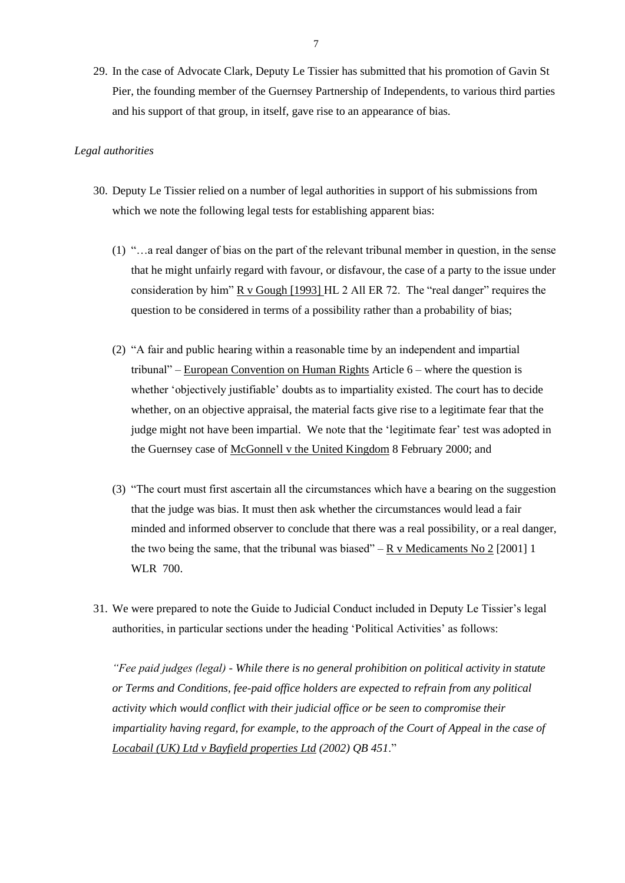29. In the case of Advocate Clark, Deputy Le Tissier has submitted that his promotion of Gavin St Pier, the founding member of the Guernsey Partnership of Independents, to various third parties and his support of that group, in itself, gave rise to an appearance of bias.

#### *Legal authorities*

- 30. Deputy Le Tissier relied on a number of legal authorities in support of his submissions from which we note the following legal tests for establishing apparent bias:
	- (1) "…a real danger of bias on the part of the relevant tribunal member in question, in the sense that he might unfairly regard with favour, or disfavour, the case of a party to the issue under consideration by him"  $R \text{ v}$  Gough [1993] HL 2 All ER 72. The "real danger" requires the question to be considered in terms of a possibility rather than a probability of bias;
	- (2) "A fair and public hearing within a reasonable time by an independent and impartial tribunal" – European Convention on Human Rights Article 6 – where the question is whether 'objectively justifiable' doubts as to impartiality existed. The court has to decide whether, on an objective appraisal, the material facts give rise to a legitimate fear that the judge might not have been impartial. We note that the 'legitimate fear' test was adopted in the Guernsey case of McGonnell v the United Kingdom 8 February 2000; and
	- (3) "The court must first ascertain all the circumstances which have a bearing on the suggestion that the judge was bias. It must then ask whether the circumstances would lead a fair minded and informed observer to conclude that there was a real possibility, or a real danger, the two being the same, that the tribunal was biased" – R v Medicaments No 2 [2001] 1 WLR 700.
- 31. We were prepared to note the Guide to Judicial Conduct included in Deputy Le Tissier's legal authorities, in particular sections under the heading 'Political Activities' as follows:

*"Fee paid judges (legal) - While there is no general prohibition on political activity in statute or Terms and Conditions, fee-paid office holders are expected to refrain from any political activity which would conflict with their judicial office or be seen to compromise their impartiality having regard, for example, to the approach of the Court of Appeal in the case of Locabail (UK) Ltd v Bayfield properties Ltd (2002) QB 451*."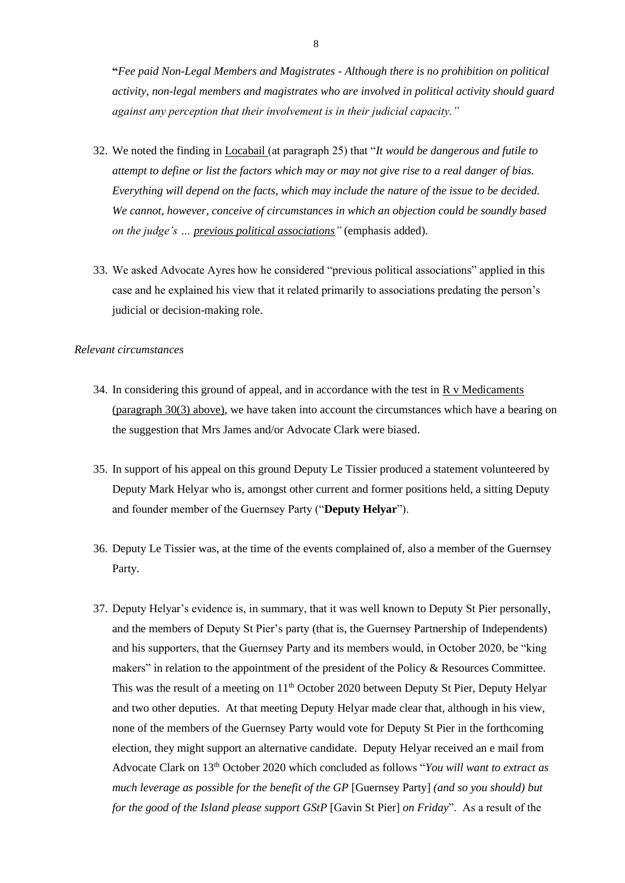**"***Fee paid Non-Legal Members and Magistrates - Although there is no prohibition on political activity, non-legal members and magistrates who are involved in political activity should guard against any perception that their involvement is in their judicial capacity."*

- 32. We noted the finding in Locabail (at paragraph 25) that "*It would be dangerous and futile to attempt to define or list the factors which may or may not give rise to a real danger of bias. Everything will depend on the facts, which may include the nature of the issue to be decided. We cannot, however, conceive of circumstances in which an objection could be soundly based on the judge's … previous political associations"* (emphasis added).
- 33. We asked Advocate Ayres how he considered "previous political associations" applied in this case and he explained his view that it related primarily to associations predating the person's judicial or decision-making role.

#### *Relevant circumstances*

- 34. In considering this ground of appeal, and in accordance with the test in  $\overline{R}$  v Medicaments (paragraph 30(3) above), we have taken into account the circumstances which have a bearing on the suggestion that Mrs James and/or Advocate Clark were biased.
- 35. In support of his appeal on this ground Deputy Le Tissier produced a statement volunteered by Deputy Mark Helyar who is, amongst other current and former positions held, a sitting Deputy and founder member of the Guernsey Party ("**Deputy Helyar**").
- 36. Deputy Le Tissier was, at the time of the events complained of, also a member of the Guernsey Party.
- 37. Deputy Helyar's evidence is, in summary, that it was well known to Deputy St Pier personally, and the members of Deputy St Pier's party (that is, the Guernsey Partnership of Independents) and his supporters, that the Guernsey Party and its members would, in October 2020, be "king makers" in relation to the appointment of the president of the Policy & Resources Committee. This was the result of a meeting on 11<sup>th</sup> October 2020 between Deputy St Pier, Deputy Helyar and two other deputies. At that meeting Deputy Helyar made clear that, although in his view, none of the members of the Guernsey Party would vote for Deputy St Pier in the forthcoming election, they might support an alternative candidate. Deputy Helyar received an e mail from Advocate Clark on 13th October 2020 which concluded as follows "*You will want to extract as much leverage as possible for the benefit of the GP* [Guernsey Party] *(and so you should) but for the good of the Island please support GStP* [Gavin St Pier] *on Friday*". As a result of the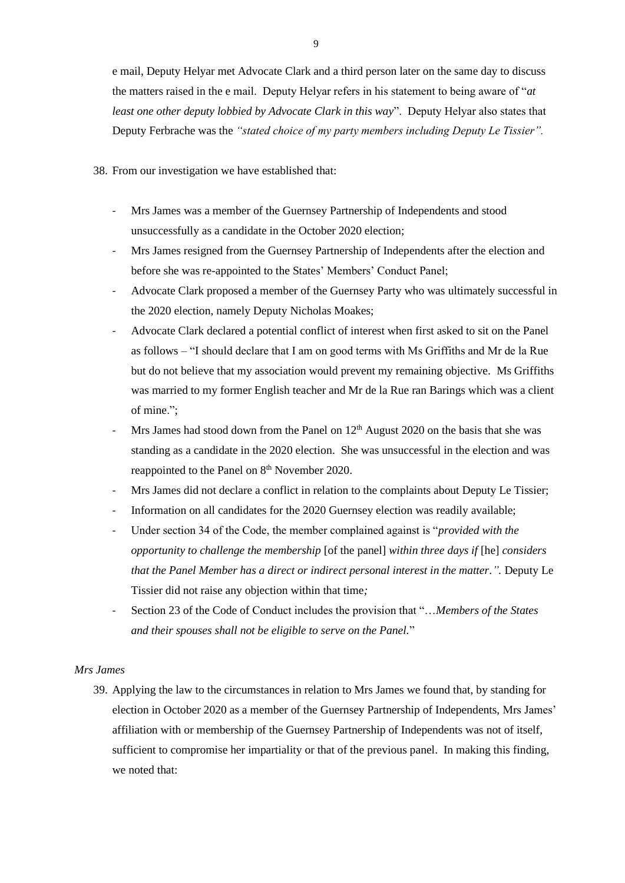e mail, Deputy Helyar met Advocate Clark and a third person later on the same day to discuss the matters raised in the e mail. Deputy Helyar refers in his statement to being aware of "*at least one other deputy lobbied by Advocate Clark in this way*". Deputy Helyar also states that Deputy Ferbrache was the *"stated choice of my party members including Deputy Le Tissier".*

38. From our investigation we have established that:

- Mrs James was a member of the Guernsey Partnership of Independents and stood unsuccessfully as a candidate in the October 2020 election;
- Mrs James resigned from the Guernsey Partnership of Independents after the election and before she was re-appointed to the States' Members' Conduct Panel;
- Advocate Clark proposed a member of the Guernsey Party who was ultimately successful in the 2020 election, namely Deputy Nicholas Moakes;
- Advocate Clark declared a potential conflict of interest when first asked to sit on the Panel as follows – "I should declare that I am on good terms with Ms Griffiths and Mr de la Rue but do not believe that my association would prevent my remaining objective. Ms Griffiths was married to my former English teacher and Mr de la Rue ran Barings which was a client of mine.";
- Mrs James had stood down from the Panel on  $12<sup>th</sup>$  August 2020 on the basis that she was standing as a candidate in the 2020 election. She was unsuccessful in the election and was reappointed to the Panel on 8<sup>th</sup> November 2020.
- Mrs James did not declare a conflict in relation to the complaints about Deputy Le Tissier;
- Information on all candidates for the 2020 Guernsey election was readily available;
- Under section 34 of the Code, the member complained against is "*provided with the opportunity to challenge the membership* [of the panel] *within three days if* [he] *considers that the Panel Member has a direct or indirect personal interest in the matter.*". Deputy Le Tissier did not raise any objection within that time*;*
- Section 23 of the Code of Conduct includes the provision that "…*Members of the States and their spouses shall not be eligible to serve on the Panel.*"

#### *Mrs James*

39. Applying the law to the circumstances in relation to Mrs James we found that, by standing for election in October 2020 as a member of the Guernsey Partnership of Independents, Mrs James' affiliation with or membership of the Guernsey Partnership of Independents was not of itself, sufficient to compromise her impartiality or that of the previous panel. In making this finding, we noted that: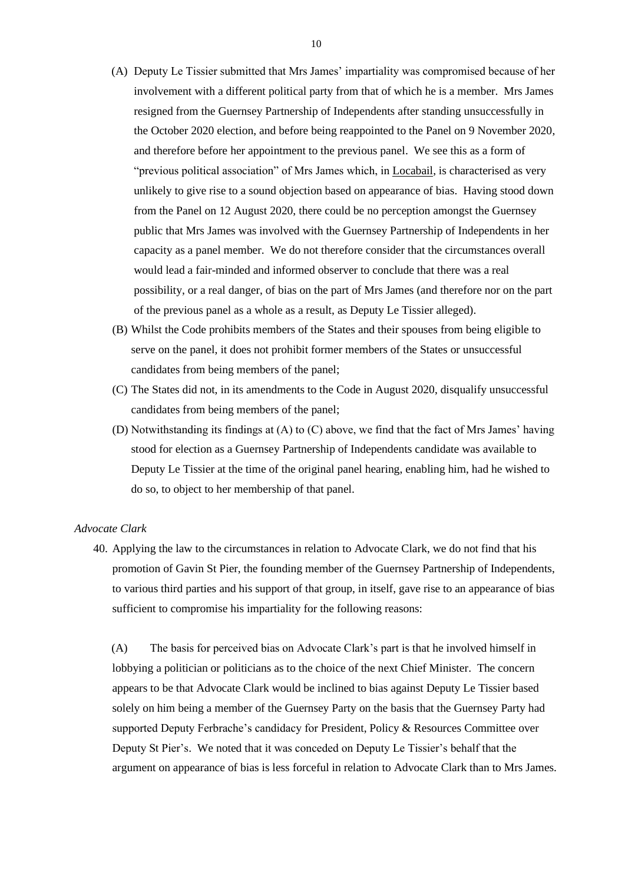- (A) Deputy Le Tissier submitted that Mrs James' impartiality was compromised because of her involvement with a different political party from that of which he is a member. Mrs James resigned from the Guernsey Partnership of Independents after standing unsuccessfully in the October 2020 election, and before being reappointed to the Panel on 9 November 2020, and therefore before her appointment to the previous panel. We see this as a form of "previous political association" of Mrs James which, in Locabail, is characterised as very unlikely to give rise to a sound objection based on appearance of bias. Having stood down from the Panel on 12 August 2020, there could be no perception amongst the Guernsey public that Mrs James was involved with the Guernsey Partnership of Independents in her capacity as a panel member. We do not therefore consider that the circumstances overall would lead a fair-minded and informed observer to conclude that there was a real possibility, or a real danger, of bias on the part of Mrs James (and therefore nor on the part of the previous panel as a whole as a result, as Deputy Le Tissier alleged).
- (B) Whilst the Code prohibits members of the States and their spouses from being eligible to serve on the panel, it does not prohibit former members of the States or unsuccessful candidates from being members of the panel;
- (C) The States did not, in its amendments to the Code in August 2020, disqualify unsuccessful candidates from being members of the panel;
- (D) Notwithstanding its findings at (A) to (C) above, we find that the fact of Mrs James' having stood for election as a Guernsey Partnership of Independents candidate was available to Deputy Le Tissier at the time of the original panel hearing, enabling him, had he wished to do so, to object to her membership of that panel.

#### *Advocate Clark*

40. Applying the law to the circumstances in relation to Advocate Clark, we do not find that his promotion of Gavin St Pier, the founding member of the Guernsey Partnership of Independents, to various third parties and his support of that group, in itself, gave rise to an appearance of bias sufficient to compromise his impartiality for the following reasons:

(A) The basis for perceived bias on Advocate Clark's part is that he involved himself in lobbying a politician or politicians as to the choice of the next Chief Minister. The concern appears to be that Advocate Clark would be inclined to bias against Deputy Le Tissier based solely on him being a member of the Guernsey Party on the basis that the Guernsey Party had supported Deputy Ferbrache's candidacy for President, Policy & Resources Committee over Deputy St Pier's. We noted that it was conceded on Deputy Le Tissier's behalf that the argument on appearance of bias is less forceful in relation to Advocate Clark than to Mrs James.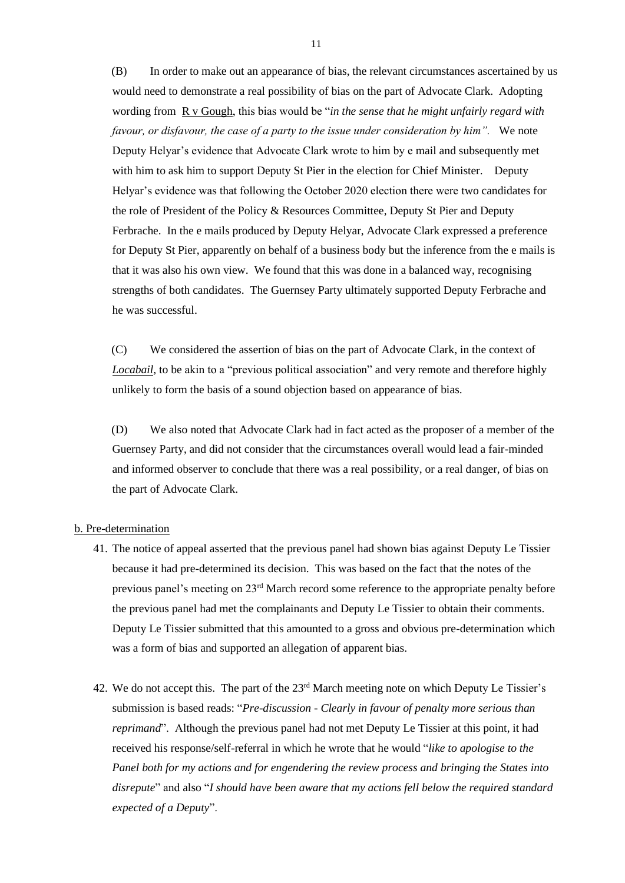(B) In order to make out an appearance of bias, the relevant circumstances ascertained by us would need to demonstrate a real possibility of bias on the part of Advocate Clark. Adopting wording from R v Gough, this bias would be "*in the sense that he might unfairly regard with favour, or disfavour, the case of a party to the issue under consideration by him".* We note Deputy Helyar's evidence that Advocate Clark wrote to him by e mail and subsequently met with him to ask him to support Deputy St Pier in the election for Chief Minister. Deputy Helyar's evidence was that following the October 2020 election there were two candidates for the role of President of the Policy & Resources Committee, Deputy St Pier and Deputy Ferbrache. In the e mails produced by Deputy Helyar, Advocate Clark expressed a preference for Deputy St Pier, apparently on behalf of a business body but the inference from the e mails is that it was also his own view. We found that this was done in a balanced way, recognising strengths of both candidates. The Guernsey Party ultimately supported Deputy Ferbrache and he was successful.

(C) We considered the assertion of bias on the part of Advocate Clark, in the context of *Locabail,* to be akin to a "previous political association" and very remote and therefore highly unlikely to form the basis of a sound objection based on appearance of bias.

(D) We also noted that Advocate Clark had in fact acted as the proposer of a member of the Guernsey Party, and did not consider that the circumstances overall would lead a fair-minded and informed observer to conclude that there was a real possibility, or a real danger, of bias on the part of Advocate Clark.

#### b. Pre-determination

- 41. The notice of appeal asserted that the previous panel had shown bias against Deputy Le Tissier because it had pre-determined its decision. This was based on the fact that the notes of the previous panel's meeting on 23<sup>rd</sup> March record some reference to the appropriate penalty before the previous panel had met the complainants and Deputy Le Tissier to obtain their comments. Deputy Le Tissier submitted that this amounted to a gross and obvious pre-determination which was a form of bias and supported an allegation of apparent bias.
- 42. We do not accept this. The part of the 23rd March meeting note on which Deputy Le Tissier's submission is based reads: "*Pre-discussion - Clearly in favour of penalty more serious than reprimand*". Although the previous panel had not met Deputy Le Tissier at this point, it had received his response/self-referral in which he wrote that he would "*like to apologise to the Panel both for my actions and for engendering the review process and bringing the States into disrepute*" and also "*I should have been aware that my actions fell below the required standard expected of a Deputy*".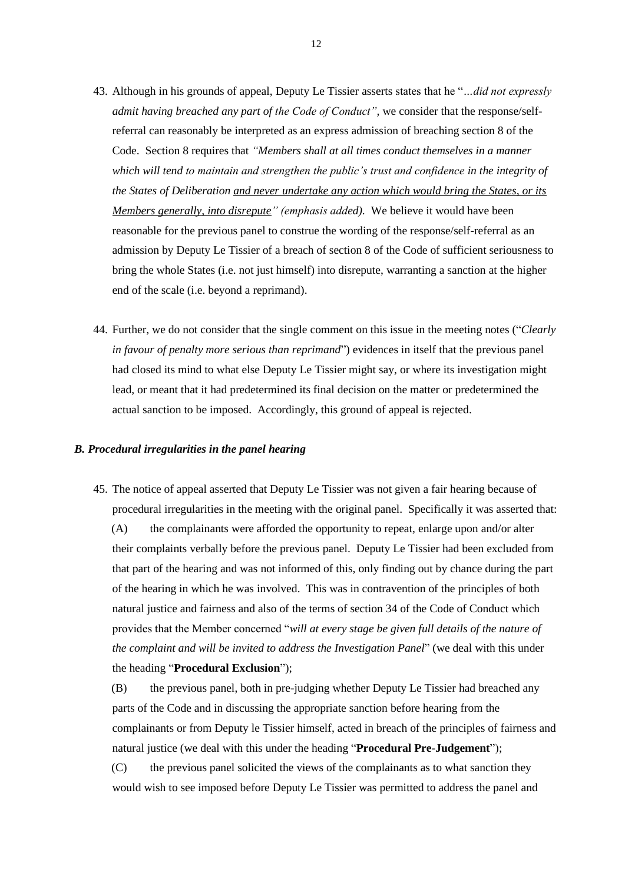- 43. Although in his grounds of appeal, Deputy Le Tissier asserts states that he "*…did not expressly admit having breached any part of the Code of Conduct"*, we consider that the response/selfreferral can reasonably be interpreted as an express admission of breaching section 8 of the Code. Section 8 requires that *"Members shall at all times conduct themselves in a manner which will tend to maintain and strengthen the public's trust and confidence in the integrity of the States of Deliberation and never undertake any action which would bring the States, or its Members generally, into disrepute" (emphasis added).* We believe it would have been reasonable for the previous panel to construe the wording of the response/self-referral as an admission by Deputy Le Tissier of a breach of section 8 of the Code of sufficient seriousness to bring the whole States (i.e. not just himself) into disrepute, warranting a sanction at the higher end of the scale (i.e. beyond a reprimand).
- 44. Further, we do not consider that the single comment on this issue in the meeting notes ("*Clearly in favour of penalty more serious than reprimand*") evidences in itself that the previous panel had closed its mind to what else Deputy Le Tissier might say, or where its investigation might lead, or meant that it had predetermined its final decision on the matter or predetermined the actual sanction to be imposed. Accordingly, this ground of appeal is rejected.

#### *B. Procedural irregularities in the panel hearing*

45. The notice of appeal asserted that Deputy Le Tissier was not given a fair hearing because of procedural irregularities in the meeting with the original panel. Specifically it was asserted that: (A) the complainants were afforded the opportunity to repeat, enlarge upon and/or alter their complaints verbally before the previous panel. Deputy Le Tissier had been excluded from that part of the hearing and was not informed of this, only finding out by chance during the part of the hearing in which he was involved. This was in contravention of the principles of both natural justice and fairness and also of the terms of section 34 of the Code of Conduct which provides that the Member concerned "*will at every stage be given full details of the nature of the complaint and will be invited to address the Investigation Panel*" (we deal with this under the heading "**Procedural Exclusion**");

(B) the previous panel, both in pre-judging whether Deputy Le Tissier had breached any parts of the Code and in discussing the appropriate sanction before hearing from the complainants or from Deputy le Tissier himself, acted in breach of the principles of fairness and natural justice (we deal with this under the heading "**Procedural Pre-Judgement**");

(C) the previous panel solicited the views of the complainants as to what sanction they would wish to see imposed before Deputy Le Tissier was permitted to address the panel and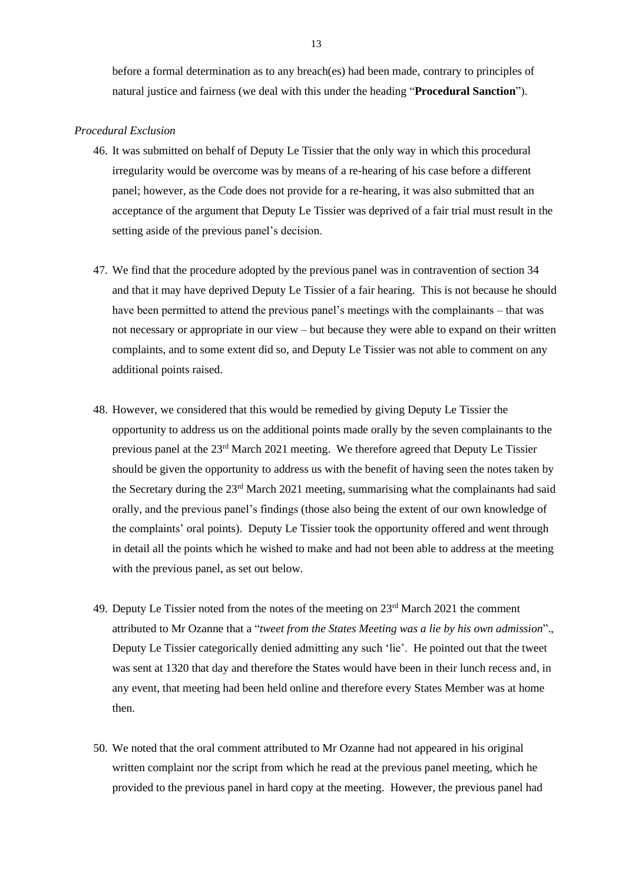before a formal determination as to any breach(es) had been made, contrary to principles of natural justice and fairness (we deal with this under the heading "**Procedural Sanction**").

#### *Procedural Exclusion*

- 46. It was submitted on behalf of Deputy Le Tissier that the only way in which this procedural irregularity would be overcome was by means of a re-hearing of his case before a different panel; however, as the Code does not provide for a re-hearing, it was also submitted that an acceptance of the argument that Deputy Le Tissier was deprived of a fair trial must result in the setting aside of the previous panel's decision.
- 47. We find that the procedure adopted by the previous panel was in contravention of section 34 and that it may have deprived Deputy Le Tissier of a fair hearing. This is not because he should have been permitted to attend the previous panel's meetings with the complainants – that was not necessary or appropriate in our view – but because they were able to expand on their written complaints, and to some extent did so, and Deputy Le Tissier was not able to comment on any additional points raised.
- 48. However, we considered that this would be remedied by giving Deputy Le Tissier the opportunity to address us on the additional points made orally by the seven complainants to the previous panel at the 23rd March 2021 meeting. We therefore agreed that Deputy Le Tissier should be given the opportunity to address us with the benefit of having seen the notes taken by the Secretary during the  $23<sup>rd</sup>$  March 2021 meeting, summarising what the complainants had said orally, and the previous panel's findings (those also being the extent of our own knowledge of the complaints' oral points). Deputy Le Tissier took the opportunity offered and went through in detail all the points which he wished to make and had not been able to address at the meeting with the previous panel, as set out below.
- 49. Deputy Le Tissier noted from the notes of the meeting on  $23<sup>rd</sup>$  March 2021 the comment attributed to Mr Ozanne that a "*tweet from the States Meeting was a lie by his own admission*"., Deputy Le Tissier categorically denied admitting any such 'lie'. He pointed out that the tweet was sent at 1320 that day and therefore the States would have been in their lunch recess and, in any event, that meeting had been held online and therefore every States Member was at home then.
- 50. We noted that the oral comment attributed to Mr Ozanne had not appeared in his original written complaint nor the script from which he read at the previous panel meeting, which he provided to the previous panel in hard copy at the meeting. However, the previous panel had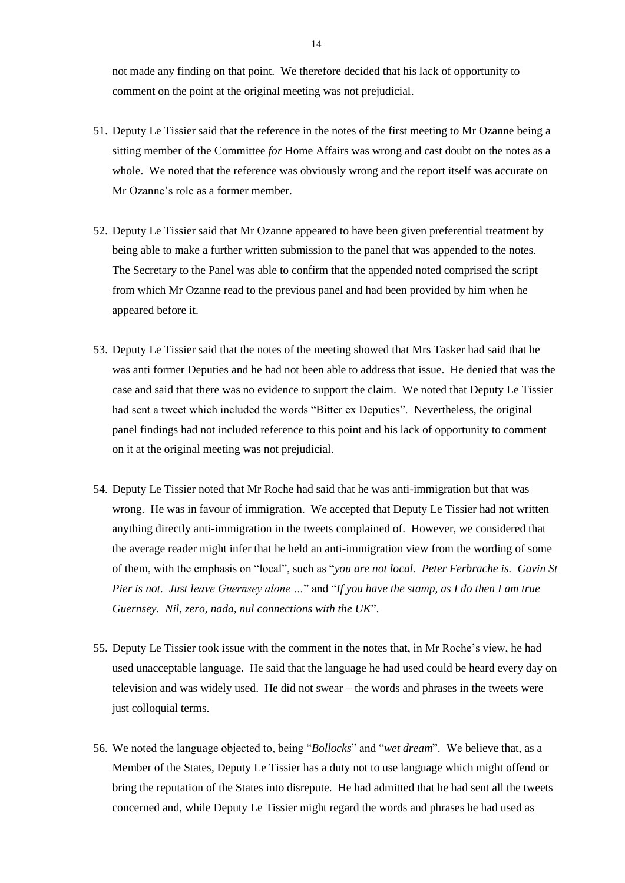not made any finding on that point. We therefore decided that his lack of opportunity to comment on the point at the original meeting was not prejudicial.

- 51. Deputy Le Tissier said that the reference in the notes of the first meeting to Mr Ozanne being a sitting member of the Committee *for* Home Affairs was wrong and cast doubt on the notes as a whole. We noted that the reference was obviously wrong and the report itself was accurate on Mr Ozanne's role as a former member.
- 52. Deputy Le Tissier said that Mr Ozanne appeared to have been given preferential treatment by being able to make a further written submission to the panel that was appended to the notes. The Secretary to the Panel was able to confirm that the appended noted comprised the script from which Mr Ozanne read to the previous panel and had been provided by him when he appeared before it.
- 53. Deputy Le Tissier said that the notes of the meeting showed that Mrs Tasker had said that he was anti former Deputies and he had not been able to address that issue. He denied that was the case and said that there was no evidence to support the claim. We noted that Deputy Le Tissier had sent a tweet which included the words "Bitter ex Deputies". Nevertheless, the original panel findings had not included reference to this point and his lack of opportunity to comment on it at the original meeting was not prejudicial.
- 54. Deputy Le Tissier noted that Mr Roche had said that he was anti-immigration but that was wrong. He was in favour of immigration. We accepted that Deputy Le Tissier had not written anything directly anti-immigration in the tweets complained of. However, we considered that the average reader might infer that he held an anti-immigration view from the wording of some of them, with the emphasis on "local", such as "*you are not local. Peter Ferbrache is. Gavin St Pier is not. Just leave Guernsey alone …*" and "*If you have the stamp, as I do then I am true Guernsey. Nil, zero, nada, nul connections with the UK*".
- 55. Deputy Le Tissier took issue with the comment in the notes that, in Mr Roche's view, he had used unacceptable language. He said that the language he had used could be heard every day on television and was widely used. He did not swear – the words and phrases in the tweets were just colloquial terms.
- 56. We noted the language objected to, being "*Bollocks*" and "*wet dream*". We believe that, as a Member of the States, Deputy Le Tissier has a duty not to use language which might offend or bring the reputation of the States into disrepute. He had admitted that he had sent all the tweets concerned and, while Deputy Le Tissier might regard the words and phrases he had used as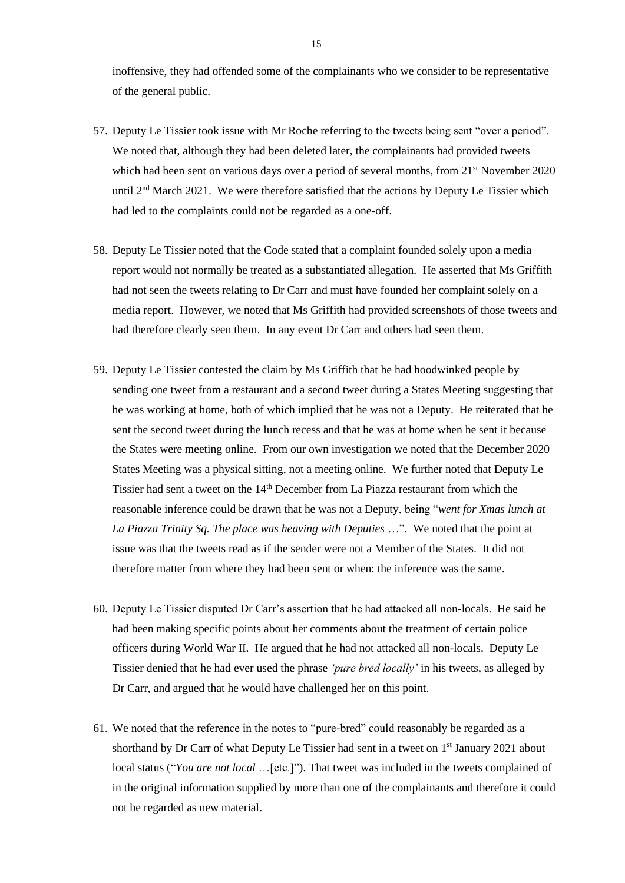inoffensive, they had offended some of the complainants who we consider to be representative of the general public.

- 57. Deputy Le Tissier took issue with Mr Roche referring to the tweets being sent "over a period". We noted that, although they had been deleted later, the complainants had provided tweets which had been sent on various days over a period of several months, from  $21<sup>st</sup>$  November 2020 until 2<sup>nd</sup> March 2021. We were therefore satisfied that the actions by Deputy Le Tissier which had led to the complaints could not be regarded as a one-off.
- 58. Deputy Le Tissier noted that the Code stated that a complaint founded solely upon a media report would not normally be treated as a substantiated allegation. He asserted that Ms Griffith had not seen the tweets relating to Dr Carr and must have founded her complaint solely on a media report. However, we noted that Ms Griffith had provided screenshots of those tweets and had therefore clearly seen them. In any event Dr Carr and others had seen them.
- 59. Deputy Le Tissier contested the claim by Ms Griffith that he had hoodwinked people by sending one tweet from a restaurant and a second tweet during a States Meeting suggesting that he was working at home, both of which implied that he was not a Deputy. He reiterated that he sent the second tweet during the lunch recess and that he was at home when he sent it because the States were meeting online. From our own investigation we noted that the December 2020 States Meeting was a physical sitting, not a meeting online. We further noted that Deputy Le Tissier had sent a tweet on the  $14<sup>th</sup>$  December from La Piazza restaurant from which the reasonable inference could be drawn that he was not a Deputy, being "*went for Xmas lunch at La Piazza Trinity Sq. The place was heaving with Deputies* …". We noted that the point at issue was that the tweets read as if the sender were not a Member of the States. It did not therefore matter from where they had been sent or when: the inference was the same.
- 60. Deputy Le Tissier disputed Dr Carr's assertion that he had attacked all non-locals. He said he had been making specific points about her comments about the treatment of certain police officers during World War II. He argued that he had not attacked all non-locals. Deputy Le Tissier denied that he had ever used the phrase *'pure bred locally'* in his tweets, as alleged by Dr Carr, and argued that he would have challenged her on this point.
- 61. We noted that the reference in the notes to "pure-bred" could reasonably be regarded as a shorthand by Dr Carr of what Deputy Le Tissier had sent in a tweet on  $1<sup>st</sup>$  January 2021 about local status ("*You are not local* …[etc.]"). That tweet was included in the tweets complained of in the original information supplied by more than one of the complainants and therefore it could not be regarded as new material.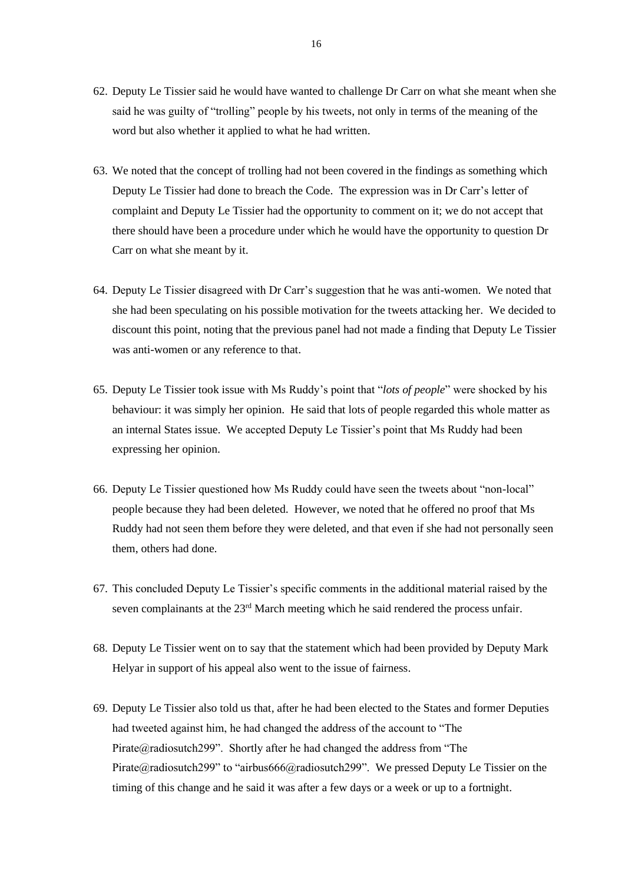- 62. Deputy Le Tissier said he would have wanted to challenge Dr Carr on what she meant when she said he was guilty of "trolling" people by his tweets, not only in terms of the meaning of the word but also whether it applied to what he had written.
- 63. We noted that the concept of trolling had not been covered in the findings as something which Deputy Le Tissier had done to breach the Code. The expression was in Dr Carr's letter of complaint and Deputy Le Tissier had the opportunity to comment on it; we do not accept that there should have been a procedure under which he would have the opportunity to question Dr Carr on what she meant by it.
- 64. Deputy Le Tissier disagreed with Dr Carr's suggestion that he was anti-women. We noted that she had been speculating on his possible motivation for the tweets attacking her. We decided to discount this point, noting that the previous panel had not made a finding that Deputy Le Tissier was anti-women or any reference to that.
- 65. Deputy Le Tissier took issue with Ms Ruddy's point that "*lots of people*" were shocked by his behaviour: it was simply her opinion. He said that lots of people regarded this whole matter as an internal States issue. We accepted Deputy Le Tissier's point that Ms Ruddy had been expressing her opinion.
- 66. Deputy Le Tissier questioned how Ms Ruddy could have seen the tweets about "non-local" people because they had been deleted. However, we noted that he offered no proof that Ms Ruddy had not seen them before they were deleted, and that even if she had not personally seen them, others had done.
- 67. This concluded Deputy Le Tissier's specific comments in the additional material raised by the seven complainants at the  $23<sup>rd</sup>$  March meeting which he said rendered the process unfair.
- 68. Deputy Le Tissier went on to say that the statement which had been provided by Deputy Mark Helyar in support of his appeal also went to the issue of fairness.
- 69. Deputy Le Tissier also told us that, after he had been elected to the States and former Deputies had tweeted against him, he had changed the address of the account to "The Pirate@radiosutch299". Shortly after he had changed the address from "The Pirate@radiosutch299" to "airbus666@radiosutch299". We pressed Deputy Le Tissier on the timing of this change and he said it was after a few days or a week or up to a fortnight.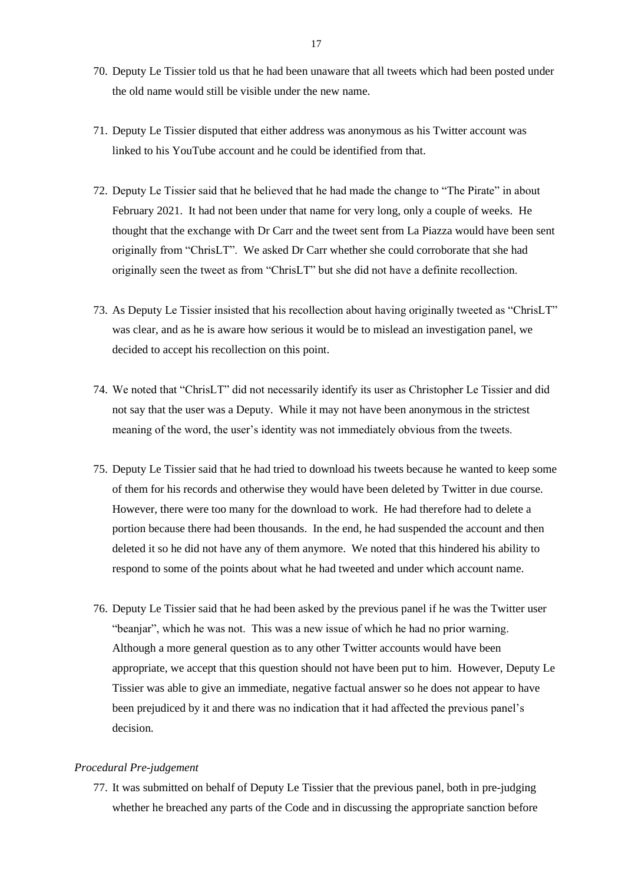- 70. Deputy Le Tissier told us that he had been unaware that all tweets which had been posted under the old name would still be visible under the new name.
- 71. Deputy Le Tissier disputed that either address was anonymous as his Twitter account was linked to his YouTube account and he could be identified from that.
- 72. Deputy Le Tissier said that he believed that he had made the change to "The Pirate" in about February 2021. It had not been under that name for very long, only a couple of weeks. He thought that the exchange with Dr Carr and the tweet sent from La Piazza would have been sent originally from "ChrisLT". We asked Dr Carr whether she could corroborate that she had originally seen the tweet as from "ChrisLT" but she did not have a definite recollection.
- 73. As Deputy Le Tissier insisted that his recollection about having originally tweeted as "ChrisLT" was clear, and as he is aware how serious it would be to mislead an investigation panel, we decided to accept his recollection on this point.
- 74. We noted that "ChrisLT" did not necessarily identify its user as Christopher Le Tissier and did not say that the user was a Deputy. While it may not have been anonymous in the strictest meaning of the word, the user's identity was not immediately obvious from the tweets.
- 75. Deputy Le Tissier said that he had tried to download his tweets because he wanted to keep some of them for his records and otherwise they would have been deleted by Twitter in due course. However, there were too many for the download to work. He had therefore had to delete a portion because there had been thousands. In the end, he had suspended the account and then deleted it so he did not have any of them anymore. We noted that this hindered his ability to respond to some of the points about what he had tweeted and under which account name.
- 76. Deputy Le Tissier said that he had been asked by the previous panel if he was the Twitter user "beanjar", which he was not. This was a new issue of which he had no prior warning. Although a more general question as to any other Twitter accounts would have been appropriate, we accept that this question should not have been put to him. However, Deputy Le Tissier was able to give an immediate, negative factual answer so he does not appear to have been prejudiced by it and there was no indication that it had affected the previous panel's decision.

#### *Procedural Pre-judgement*

77. It was submitted on behalf of Deputy Le Tissier that the previous panel, both in pre-judging whether he breached any parts of the Code and in discussing the appropriate sanction before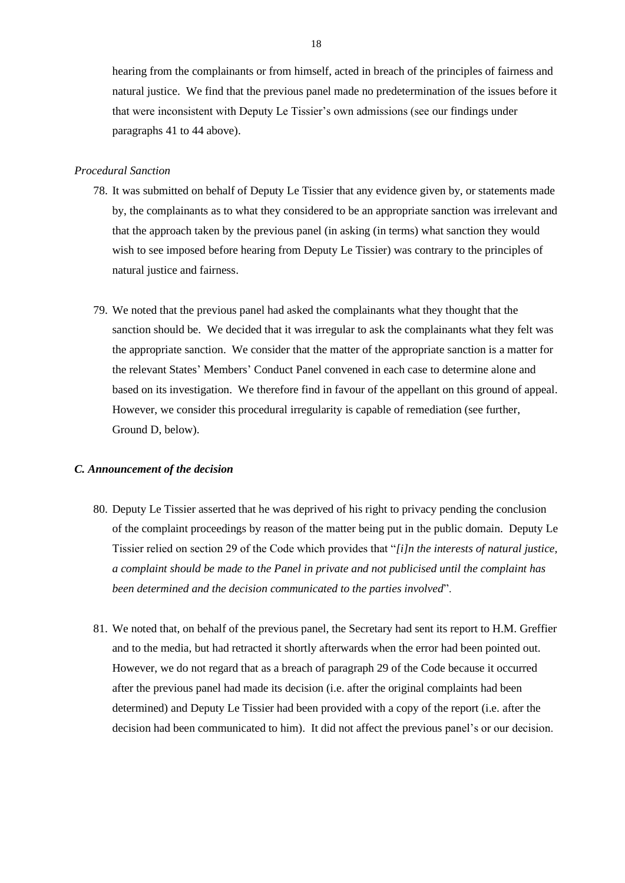hearing from the complainants or from himself, acted in breach of the principles of fairness and natural justice. We find that the previous panel made no predetermination of the issues before it that were inconsistent with Deputy Le Tissier's own admissions (see our findings under paragraphs 41 to 44 above).

#### *Procedural Sanction*

- 78. It was submitted on behalf of Deputy Le Tissier that any evidence given by, or statements made by, the complainants as to what they considered to be an appropriate sanction was irrelevant and that the approach taken by the previous panel (in asking (in terms) what sanction they would wish to see imposed before hearing from Deputy Le Tissier) was contrary to the principles of natural justice and fairness.
- 79. We noted that the previous panel had asked the complainants what they thought that the sanction should be. We decided that it was irregular to ask the complainants what they felt was the appropriate sanction. We consider that the matter of the appropriate sanction is a matter for the relevant States' Members' Conduct Panel convened in each case to determine alone and based on its investigation. We therefore find in favour of the appellant on this ground of appeal. However, we consider this procedural irregularity is capable of remediation (see further, Ground D, below).

#### *C. Announcement of the decision*

- 80. Deputy Le Tissier asserted that he was deprived of his right to privacy pending the conclusion of the complaint proceedings by reason of the matter being put in the public domain. Deputy Le Tissier relied on section 29 of the Code which provides that "*[i]n the interests of natural justice, a complaint should be made to the Panel in private and not publicised until the complaint has been determined and the decision communicated to the parties involved*".
- 81. We noted that, on behalf of the previous panel, the Secretary had sent its report to H.M. Greffier and to the media, but had retracted it shortly afterwards when the error had been pointed out. However, we do not regard that as a breach of paragraph 29 of the Code because it occurred after the previous panel had made its decision (i.e. after the original complaints had been determined) and Deputy Le Tissier had been provided with a copy of the report (i.e. after the decision had been communicated to him). It did not affect the previous panel's or our decision.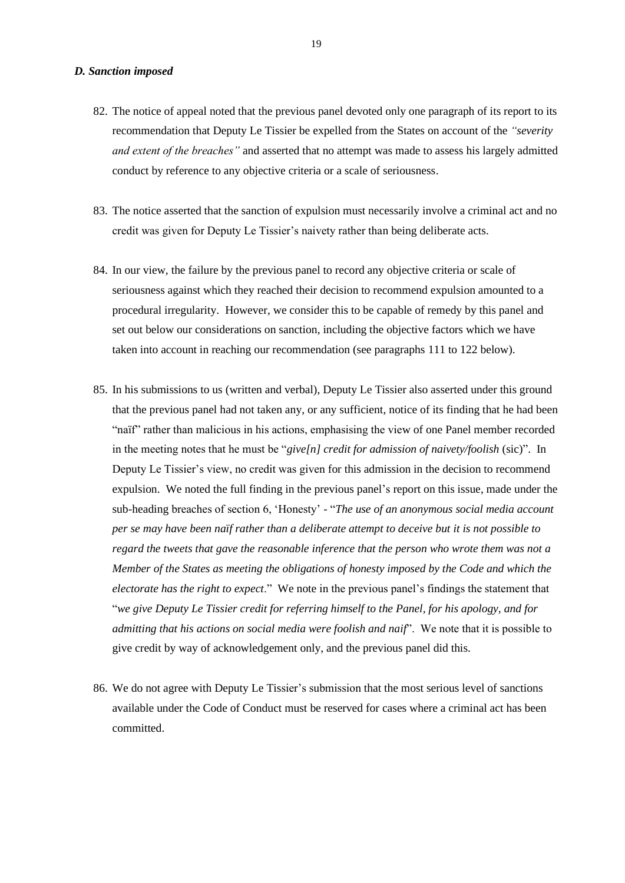- 82. The notice of appeal noted that the previous panel devoted only one paragraph of its report to its recommendation that Deputy Le Tissier be expelled from the States on account of the *"severity and extent of the breaches"* and asserted that no attempt was made to assess his largely admitted conduct by reference to any objective criteria or a scale of seriousness.
- 83. The notice asserted that the sanction of expulsion must necessarily involve a criminal act and no credit was given for Deputy Le Tissier's naivety rather than being deliberate acts.
- 84. In our view, the failure by the previous panel to record any objective criteria or scale of seriousness against which they reached their decision to recommend expulsion amounted to a procedural irregularity. However, we consider this to be capable of remedy by this panel and set out below our considerations on sanction, including the objective factors which we have taken into account in reaching our recommendation (see paragraphs 111 to 122 below).
- 85. In his submissions to us (written and verbal), Deputy Le Tissier also asserted under this ground that the previous panel had not taken any, or any sufficient, notice of its finding that he had been "naïf" rather than malicious in his actions, emphasising the view of one Panel member recorded in the meeting notes that he must be "*give[n] credit for admission of naivety/foolish* (sic)". In Deputy Le Tissier's view, no credit was given for this admission in the decision to recommend expulsion. We noted the full finding in the previous panel's report on this issue, made under the sub-heading breaches of section 6, 'Honesty' - "*The use of an anonymous social media account per se may have been naïf rather than a deliberate attempt to deceive but it is not possible to regard the tweets that gave the reasonable inference that the person who wrote them was not a Member of the States as meeting the obligations of honesty imposed by the Code and which the electorate has the right to expect*." We note in the previous panel's findings the statement that "*we give Deputy Le Tissier credit for referring himself to the Panel, for his apology, and for admitting that his actions on social media were foolish and naif*". We note that it is possible to give credit by way of acknowledgement only, and the previous panel did this.
- 86. We do not agree with Deputy Le Tissier's submission that the most serious level of sanctions available under the Code of Conduct must be reserved for cases where a criminal act has been committed.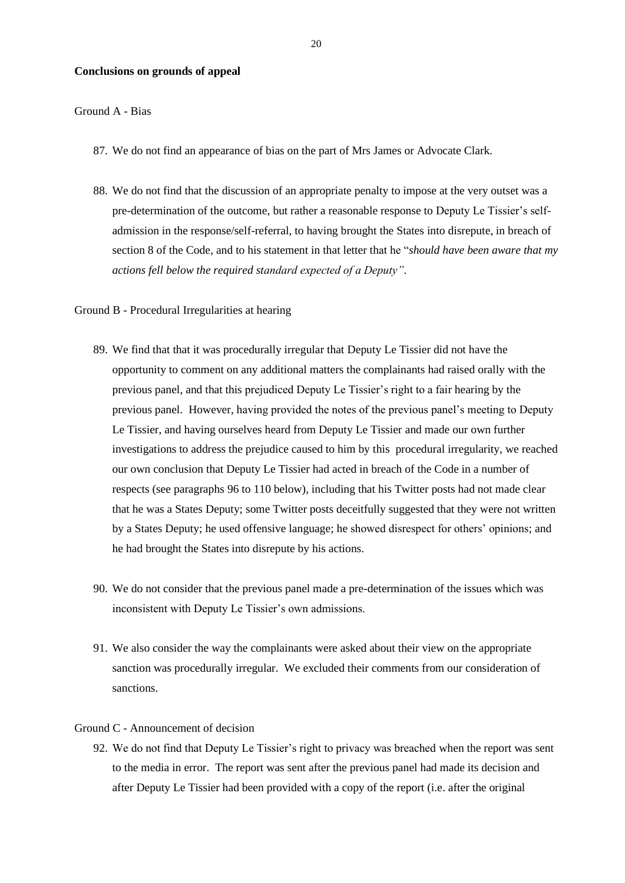#### **Conclusions on grounds of appeal**

#### Ground A - Bias

- 87. We do not find an appearance of bias on the part of Mrs James or Advocate Clark.
- 88. We do not find that the discussion of an appropriate penalty to impose at the very outset was a pre-determination of the outcome, but rather a reasonable response to Deputy Le Tissier's selfadmission in the response/self-referral, to having brought the States into disrepute, in breach of section 8 of the Code, and to his statement in that letter that he "*should have been aware that my actions fell below the required standard expected of a Deputy"*.

#### Ground B - Procedural Irregularities at hearing

- 89. We find that that it was procedurally irregular that Deputy Le Tissier did not have the opportunity to comment on any additional matters the complainants had raised orally with the previous panel, and that this prejudiced Deputy Le Tissier's right to a fair hearing by the previous panel. However, having provided the notes of the previous panel's meeting to Deputy Le Tissier, and having ourselves heard from Deputy Le Tissier and made our own further investigations to address the prejudice caused to him by this procedural irregularity, we reached our own conclusion that Deputy Le Tissier had acted in breach of the Code in a number of respects (see paragraphs 96 to 110 below), including that his Twitter posts had not made clear that he was a States Deputy; some Twitter posts deceitfully suggested that they were not written by a States Deputy; he used offensive language; he showed disrespect for others' opinions; and he had brought the States into disrepute by his actions.
- 90. We do not consider that the previous panel made a pre-determination of the issues which was inconsistent with Deputy Le Tissier's own admissions.
- 91. We also consider the way the complainants were asked about their view on the appropriate sanction was procedurally irregular. We excluded their comments from our consideration of sanctions.

#### Ground C - Announcement of decision

92. We do not find that Deputy Le Tissier's right to privacy was breached when the report was sent to the media in error. The report was sent after the previous panel had made its decision and after Deputy Le Tissier had been provided with a copy of the report (i.e. after the original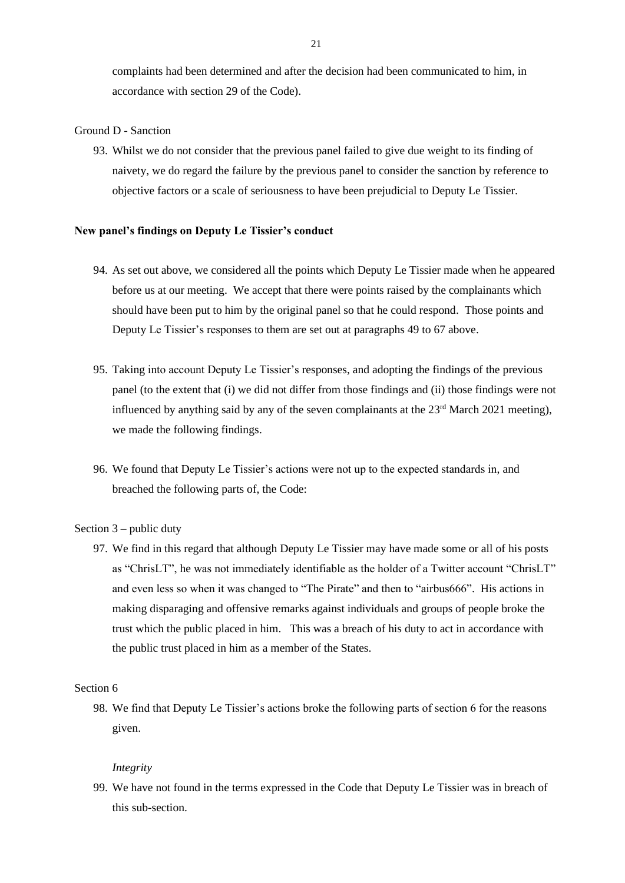complaints had been determined and after the decision had been communicated to him, in accordance with section 29 of the Code).

#### Ground D - Sanction

93. Whilst we do not consider that the previous panel failed to give due weight to its finding of naivety, we do regard the failure by the previous panel to consider the sanction by reference to objective factors or a scale of seriousness to have been prejudicial to Deputy Le Tissier.

#### **New panel's findings on Deputy Le Tissier's conduct**

- 94. As set out above, we considered all the points which Deputy Le Tissier made when he appeared before us at our meeting. We accept that there were points raised by the complainants which should have been put to him by the original panel so that he could respond. Those points and Deputy Le Tissier's responses to them are set out at paragraphs 49 to 67 above.
- 95. Taking into account Deputy Le Tissier's responses, and adopting the findings of the previous panel (to the extent that (i) we did not differ from those findings and (ii) those findings were not influenced by anything said by any of the seven complainants at the  $23<sup>rd</sup>$  March 2021 meeting), we made the following findings.
- 96. We found that Deputy Le Tissier's actions were not up to the expected standards in, and breached the following parts of, the Code:

#### Section  $3$  – public duty

97. We find in this regard that although Deputy Le Tissier may have made some or all of his posts as "ChrisLT", he was not immediately identifiable as the holder of a Twitter account "ChrisLT" and even less so when it was changed to "The Pirate" and then to "airbus666". His actions in making disparaging and offensive remarks against individuals and groups of people broke the trust which the public placed in him. This was a breach of his duty to act in accordance with the public trust placed in him as a member of the States.

#### Section 6

98. We find that Deputy Le Tissier's actions broke the following parts of section 6 for the reasons given.

#### *Integrity*

99. We have not found in the terms expressed in the Code that Deputy Le Tissier was in breach of this sub-section.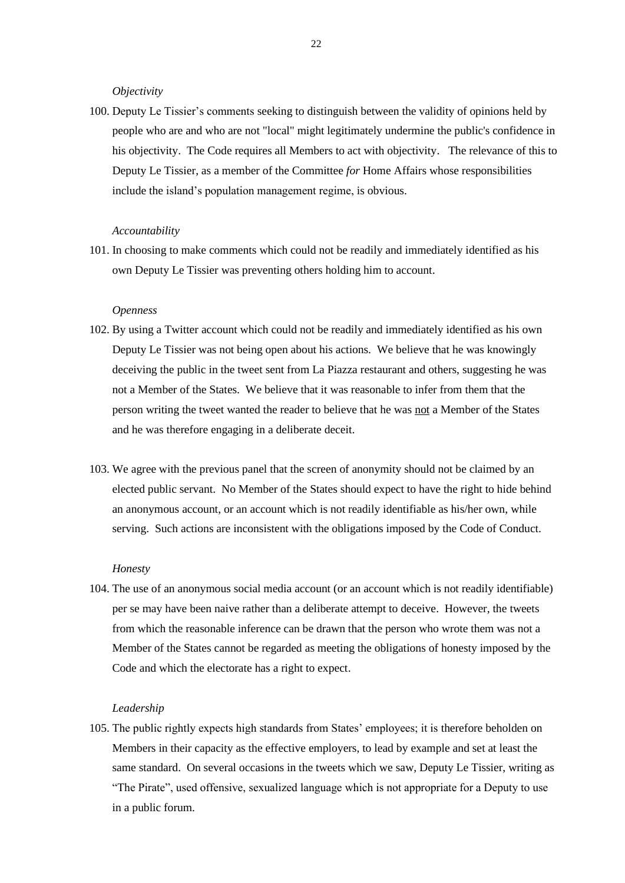*Objectivity*

100. Deputy Le Tissier's comments seeking to distinguish between the validity of opinions held by people who are and who are not "local" might legitimately undermine the public's confidence in his objectivity. The Code requires all Members to act with objectivity. The relevance of this to Deputy Le Tissier, as a member of the Committee *for* Home Affairs whose responsibilities include the island's population management regime, is obvious.

#### *Accountability*

101. In choosing to make comments which could not be readily and immediately identified as his own Deputy Le Tissier was preventing others holding him to account.

#### *Openness*

- 102. By using a Twitter account which could not be readily and immediately identified as his own Deputy Le Tissier was not being open about his actions. We believe that he was knowingly deceiving the public in the tweet sent from La Piazza restaurant and others, suggesting he was not a Member of the States. We believe that it was reasonable to infer from them that the person writing the tweet wanted the reader to believe that he was not a Member of the States and he was therefore engaging in a deliberate deceit.
- 103. We agree with the previous panel that the screen of anonymity should not be claimed by an elected public servant. No Member of the States should expect to have the right to hide behind an anonymous account, or an account which is not readily identifiable as his/her own, while serving. Such actions are inconsistent with the obligations imposed by the Code of Conduct.

#### *Honesty*

104. The use of an anonymous social media account (or an account which is not readily identifiable) per se may have been naive rather than a deliberate attempt to deceive. However, the tweets from which the reasonable inference can be drawn that the person who wrote them was not a Member of the States cannot be regarded as meeting the obligations of honesty imposed by the Code and which the electorate has a right to expect.

#### *Leadership*

105. The public rightly expects high standards from States' employees; it is therefore beholden on Members in their capacity as the effective employers, to lead by example and set at least the same standard. On several occasions in the tweets which we saw, Deputy Le Tissier, writing as "The Pirate", used offensive, sexualized language which is not appropriate for a Deputy to use in a public forum.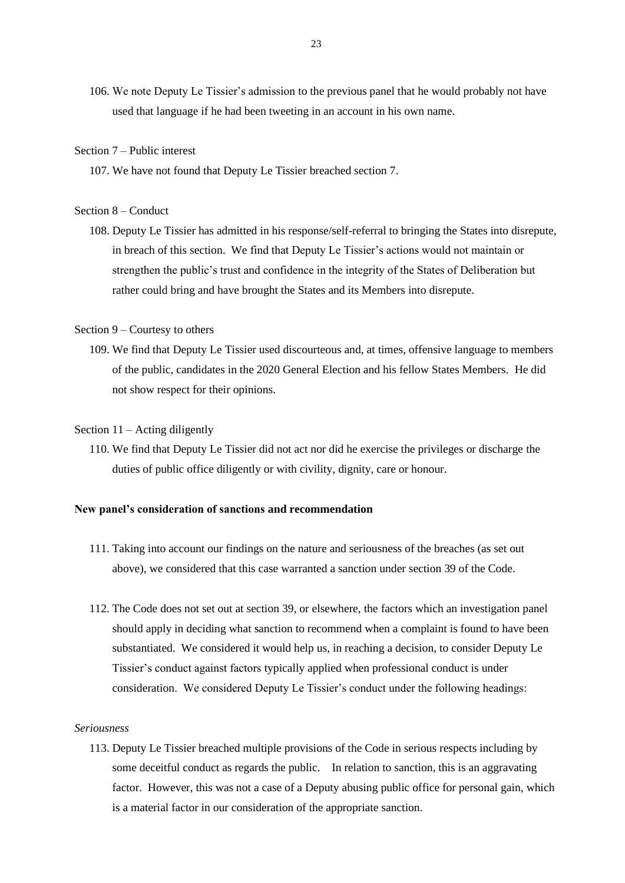106. We note Deputy Le Tissier's admission to the previous panel that he would probably not have used that language if he had been tweeting in an account in his own name.

#### Section 7 – Public interest

107. We have not found that Deputy Le Tissier breached section 7.

#### Section 8 – Conduct

108. Deputy Le Tissier has admitted in his response/self-referral to bringing the States into disrepute, in breach of this section. We find that Deputy Le Tissier's actions would not maintain or strengthen the public's trust and confidence in the integrity of the States of Deliberation but rather could bring and have brought the States and its Members into disrepute.

#### Section 9 – Courtesy to others

109. We find that Deputy Le Tissier used discourteous and, at times, offensive language to members of the public, candidates in the 2020 General Election and his fellow States Members. He did not show respect for their opinions.

#### Section 11 – Acting diligently

110. We find that Deputy Le Tissier did not act nor did he exercise the privileges or discharge the duties of public office diligently or with civility, dignity, care or honour.

#### **New panel's consideration of sanctions and recommendation**

- 111. Taking into account our findings on the nature and seriousness of the breaches (as set out above), we considered that this case warranted a sanction under section 39 of the Code.
- 112. The Code does not set out at section 39, or elsewhere, the factors which an investigation panel should apply in deciding what sanction to recommend when a complaint is found to have been substantiated. We considered it would help us, in reaching a decision, to consider Deputy Le Tissier's conduct against factors typically applied when professional conduct is under consideration. We considered Deputy Le Tissier's conduct under the following headings:

#### *Seriousness*

113. Deputy Le Tissier breached multiple provisions of the Code in serious respects including by some deceitful conduct as regards the public. In relation to sanction, this is an aggravating factor. However, this was not a case of a Deputy abusing public office for personal gain, which is a material factor in our consideration of the appropriate sanction.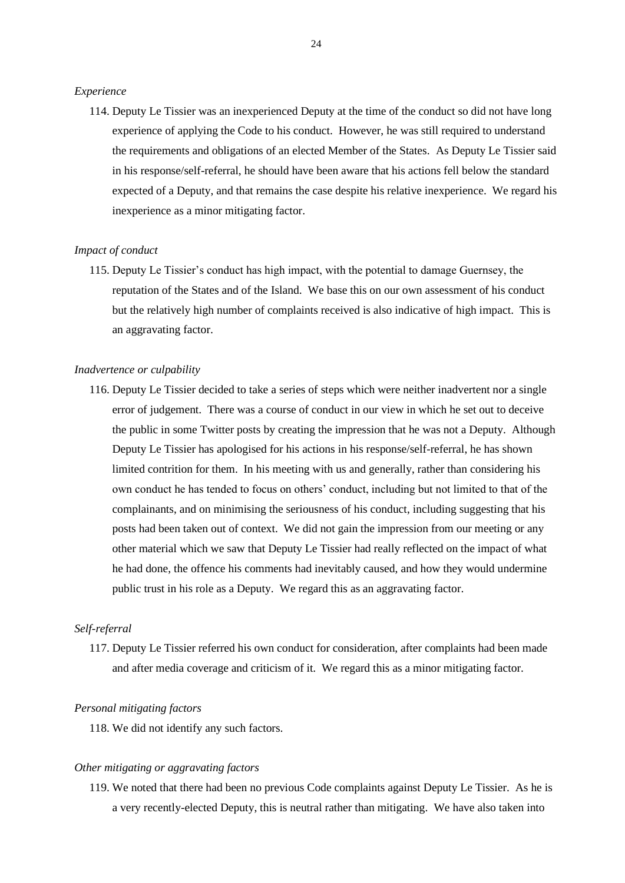#### *Experience*

114. Deputy Le Tissier was an inexperienced Deputy at the time of the conduct so did not have long experience of applying the Code to his conduct. However, he was still required to understand the requirements and obligations of an elected Member of the States. As Deputy Le Tissier said in his response/self-referral, he should have been aware that his actions fell below the standard expected of a Deputy, and that remains the case despite his relative inexperience. We regard his inexperience as a minor mitigating factor.

#### *Impact of conduct*

115. Deputy Le Tissier's conduct has high impact, with the potential to damage Guernsey, the reputation of the States and of the Island. We base this on our own assessment of his conduct but the relatively high number of complaints received is also indicative of high impact. This is an aggravating factor.

#### *Inadvertence or culpability*

116. Deputy Le Tissier decided to take a series of steps which were neither inadvertent nor a single error of judgement. There was a course of conduct in our view in which he set out to deceive the public in some Twitter posts by creating the impression that he was not a Deputy. Although Deputy Le Tissier has apologised for his actions in his response/self-referral, he has shown limited contrition for them. In his meeting with us and generally, rather than considering his own conduct he has tended to focus on others' conduct, including but not limited to that of the complainants, and on minimising the seriousness of his conduct, including suggesting that his posts had been taken out of context. We did not gain the impression from our meeting or any other material which we saw that Deputy Le Tissier had really reflected on the impact of what he had done, the offence his comments had inevitably caused, and how they would undermine public trust in his role as a Deputy. We regard this as an aggravating factor.

#### *Self-referral*

117. Deputy Le Tissier referred his own conduct for consideration, after complaints had been made and after media coverage and criticism of it. We regard this as a minor mitigating factor.

#### *Personal mitigating factors*

118. We did not identify any such factors.

#### *Other mitigating or aggravating factors*

119. We noted that there had been no previous Code complaints against Deputy Le Tissier. As he is a very recently-elected Deputy, this is neutral rather than mitigating. We have also taken into